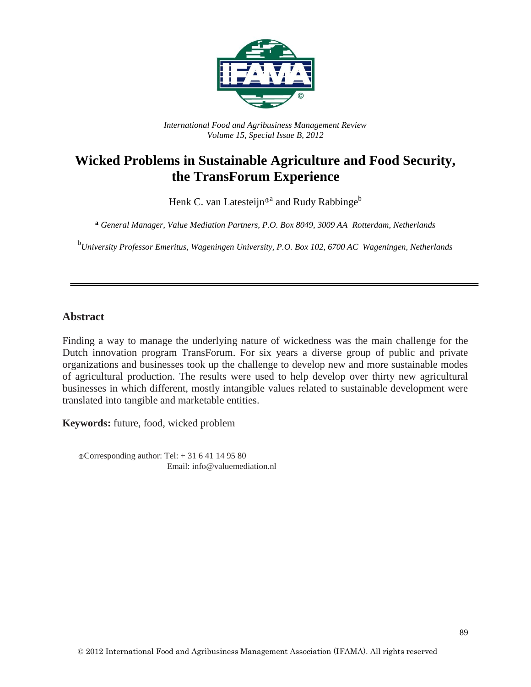

*International Food and Agribusiness Management Review Volume 15, Special Issue B, 2012*

# **Wicked Problems in Sustainable Agriculture and Food Security, the TransForum Experience**

Henk C. van Latesteijn®<sup>a</sup> and Rudy Rabbinge<sup>b</sup>

**a** *General Manager, Value Mediation Partners, P.O. Box 8049, 3009 AA Rotterdam, Netherlands*

b *University Professor Emeritus, Wageningen University, P.O. Box 102, 6700 AC Wageningen, Netherlands*

#### **Abstract**

Finding a way to manage the underlying nature of wickedness was the main challenge for the Dutch innovation program TransForum. For six years a diverse group of public and private organizations and businesses took up the challenge to develop new and more sustainable modes of agricultural production. The results were used to help develop over thirty new agricultural businesses in which different, mostly intangible values related to sustainable development were translated into tangible and marketable entities.

**Keywords:** future, food, wicked problem

 $©Corresponding author: Tel: + 31 6 41 14 95 80$ Email: info@valuemediation.nl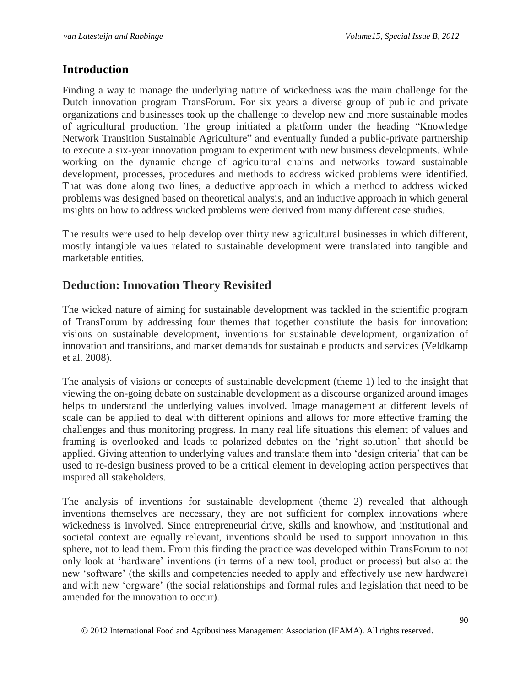### **Introduction**

Finding a way to manage the underlying nature of wickedness was the main challenge for the Dutch innovation program TransForum. For six years a diverse group of public and private organizations and businesses took up the challenge to develop new and more sustainable modes of agricultural production. The group initiated a platform under the heading "Knowledge Network Transition Sustainable Agriculture" and eventually funded a public-private partnership to execute a six-year innovation program to experiment with new business developments. While working on the dynamic change of agricultural chains and networks toward sustainable development, processes, procedures and methods to address wicked problems were identified. That was done along two lines, a deductive approach in which a method to address wicked problems was designed based on theoretical analysis, and an inductive approach in which general insights on how to address wicked problems were derived from many different case studies.

The results were used to help develop over thirty new agricultural businesses in which different, mostly intangible values related to sustainable development were translated into tangible and marketable entities.

## **Deduction: Innovation Theory Revisited**

The wicked nature of aiming for sustainable development was tackled in the scientific program of TransForum by addressing four themes that together constitute the basis for innovation: visions on sustainable development, inventions for sustainable development, organization of innovation and transitions, and market demands for sustainable products and services (Veldkamp et al. 2008).

The analysis of visions or concepts of sustainable development (theme 1) led to the insight that viewing the on-going debate on sustainable development as a discourse organized around images helps to understand the underlying values involved. Image management at different levels of scale can be applied to deal with different opinions and allows for more effective framing the challenges and thus monitoring progress. In many real life situations this element of values and framing is overlooked and leads to polarized debates on the 'right solution' that should be applied. Giving attention to underlying values and translate them into 'design criteria' that can be used to re-design business proved to be a critical element in developing action perspectives that inspired all stakeholders.

The analysis of inventions for sustainable development (theme 2) revealed that although inventions themselves are necessary, they are not sufficient for complex innovations where wickedness is involved. Since entrepreneurial drive, skills and knowhow, and institutional and societal context are equally relevant, inventions should be used to support innovation in this sphere, not to lead them. From this finding the practice was developed within TransForum to not only look at 'hardware' inventions (in terms of a new tool, product or process) but also at the new 'software' (the skills and competencies needed to apply and effectively use new hardware) and with new 'orgware' (the social relationships and formal rules and legislation that need to be amended for the innovation to occur).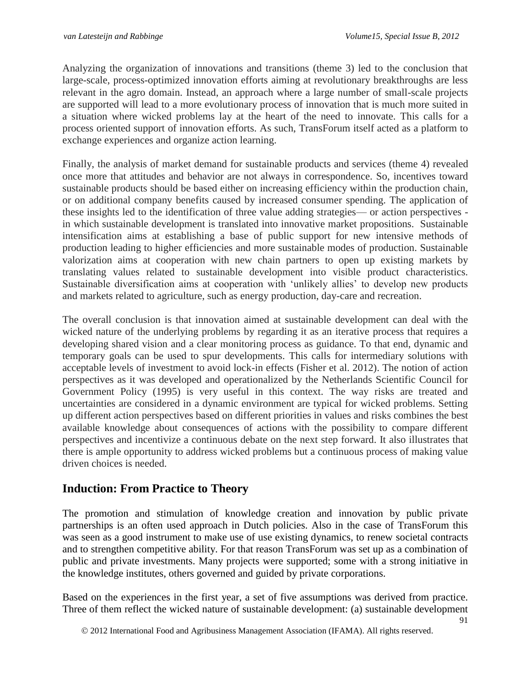Analyzing the organization of innovations and transitions (theme 3) led to the conclusion that large-scale, process-optimized innovation efforts aiming at revolutionary breakthroughs are less relevant in the agro domain. Instead, an approach where a large number of small-scale projects are supported will lead to a more evolutionary process of innovation that is much more suited in a situation where wicked problems lay at the heart of the need to innovate. This calls for a process oriented support of innovation efforts. As such, TransForum itself acted as a platform to exchange experiences and organize action learning.

Finally, the analysis of market demand for sustainable products and services (theme 4) revealed once more that attitudes and behavior are not always in correspondence. So, incentives toward sustainable products should be based either on increasing efficiency within the production chain, or on additional company benefits caused by increased consumer spending. The application of these insights led to the identification of three value adding strategies— or action perspectives in which sustainable development is translated into innovative market propositions. Sustainable intensification aims at establishing a base of public support for new intensive methods of production leading to higher efficiencies and more sustainable modes of production. Sustainable valorization aims at cooperation with new chain partners to open up existing markets by translating values related to sustainable development into visible product characteristics. Sustainable diversification aims at cooperation with 'unlikely allies' to develop new products and markets related to agriculture, such as energy production, day-care and recreation.

The overall conclusion is that innovation aimed at sustainable development can deal with the wicked nature of the underlying problems by regarding it as an iterative process that requires a developing shared vision and a clear monitoring process as guidance. To that end, dynamic and temporary goals can be used to spur developments. This calls for intermediary solutions with acceptable levels of investment to avoid lock-in effects (Fisher et al. 2012). The notion of action perspectives as it was developed and operationalized by the Netherlands Scientific Council for Government Policy (1995) is very useful in this context. The way risks are treated and uncertainties are considered in a dynamic environment are typical for wicked problems. Setting up different action perspectives based on different priorities in values and risks combines the best available knowledge about consequences of actions with the possibility to compare different perspectives and incentivize a continuous debate on the next step forward. It also illustrates that there is ample opportunity to address wicked problems but a continuous process of making value driven choices is needed.

## **Induction: From Practice to Theory**

The promotion and stimulation of knowledge creation and innovation by public private partnerships is an often used approach in Dutch policies. Also in the case of TransForum this was seen as a good instrument to make use of use existing dynamics, to renew societal contracts and to strengthen competitive ability. For that reason TransForum was set up as a combination of public and private investments. Many projects were supported; some with a strong initiative in the knowledge institutes, others governed and guided by private corporations.

Based on the experiences in the first year, a set of five assumptions was derived from practice. Three of them reflect the wicked nature of sustainable development: (a) sustainable development

2012 International Food and Agribusiness Management Association (IFAMA). All rights reserved.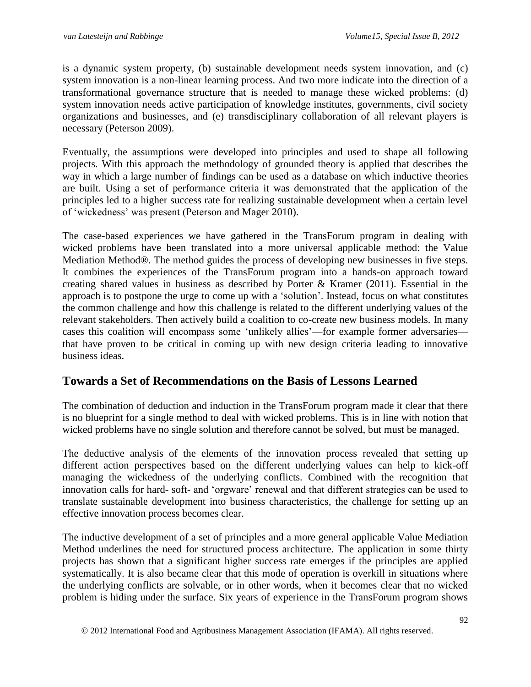is a dynamic system property, (b) sustainable development needs system innovation, and (c) system innovation is a non-linear learning process. And two more indicate into the direction of a transformational governance structure that is needed to manage these wicked problems: (d) system innovation needs active participation of knowledge institutes, governments, civil society organizations and businesses, and (e) transdisciplinary collaboration of all relevant players is necessary (Peterson 2009).

Eventually, the assumptions were developed into principles and used to shape all following projects. With this approach the methodology of grounded theory is applied that describes the way in which a large number of findings can be used as a database on which inductive theories are built. Using a set of performance criteria it was demonstrated that the application of the principles led to a higher success rate for realizing sustainable development when a certain level of 'wickedness' was present (Peterson and Mager 2010).

The case-based experiences we have gathered in the TransForum program in dealing with wicked problems have been translated into a more universal applicable method: the Value Mediation Method®. The method guides the process of developing new businesses in five steps. It combines the experiences of the TransForum program into a hands-on approach toward creating shared values in business as described by Porter & Kramer (2011). Essential in the approach is to postpone the urge to come up with a 'solution'. Instead, focus on what constitutes the common challenge and how this challenge is related to the different underlying values of the relevant stakeholders. Then actively build a coalition to co-create new business models. In many cases this coalition will encompass some 'unlikely allies'—for example former adversaries that have proven to be critical in coming up with new design criteria leading to innovative business ideas.

#### **Towards a Set of Recommendations on the Basis of Lessons Learned**

The combination of deduction and induction in the TransForum program made it clear that there is no blueprint for a single method to deal with wicked problems. This is in line with notion that wicked problems have no single solution and therefore cannot be solved, but must be managed.

The deductive analysis of the elements of the innovation process revealed that setting up different action perspectives based on the different underlying values can help to kick-off managing the wickedness of the underlying conflicts. Combined with the recognition that innovation calls for hard- soft- and 'orgware' renewal and that different strategies can be used to translate sustainable development into business characteristics, the challenge for setting up an effective innovation process becomes clear.

The inductive development of a set of principles and a more general applicable Value Mediation Method underlines the need for structured process architecture. The application in some thirty projects has shown that a significant higher success rate emerges if the principles are applied systematically. It is also became clear that this mode of operation is overkill in situations where the underlying conflicts are solvable, or in other words, when it becomes clear that no wicked problem is hiding under the surface. Six years of experience in the TransForum program shows